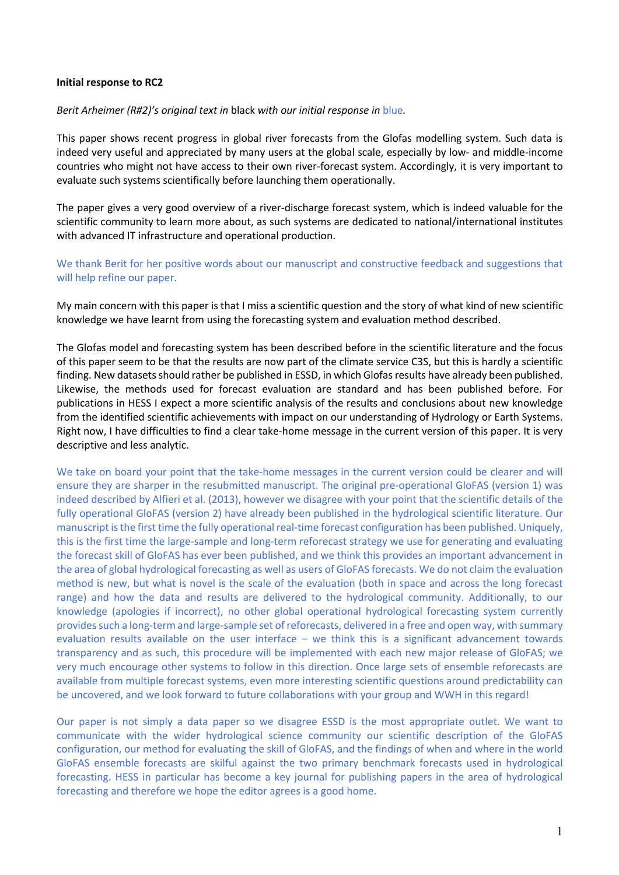## **Initial response to RC2**

*Berit Arheimer (R#2)'s original text in* black *with our initial response in* blue*.*

This paper shows recent progress in global river forecasts from the Glofas modelling system. Such data is indeed very useful and appreciated by many users at the global scale, especially by low- and middle-income countries who might not have access to their own river-forecast system. Accordingly, it is very important to evaluate such systems scientifically before launching them operationally.

The paper gives a very good overview of a river-discharge forecast system, which is indeed valuable for the scientific community to learn more about, as such systems are dedicated to national/international institutes with advanced IT infrastructure and operational production.

We thank Berit for her positive words about our manuscript and constructive feedback and suggestions that will help refine our paper.

My main concern with this paper is that I miss a scientific question and the story of what kind of new scientific knowledge we have learnt from using the forecasting system and evaluation method described.

The Glofas model and forecasting system has been described before in the scientific literature and the focus of this paper seem to be that the results are now part of the climate service C3S, but this is hardly a scientific finding. New datasets should rather be published in ESSD, in which Glofas results have already been published. Likewise, the methods used for forecast evaluation are standard and has been published before. For publications in HESS I expect a more scientific analysis of the results and conclusions about new knowledge from the identified scientific achievements with impact on our understanding of Hydrology or Earth Systems. Right now, I have difficulties to find a clear take-home message in the current version of this paper. It is very descriptive and less analytic.

We take on board your point that the take-home messages in the current version could be clearer and will ensure they are sharper in the resubmitted manuscript. The original pre-operational GloFAS (version 1) was indeed described by Alfieri et al. (2013), however we disagree with your point that the scientific details of the fully operational GloFAS (version 2) have already been published in the hydrological scientific literature. Our manuscript is the first time the fully operational real-time forecast configuration has been published. Uniquely, this is the first time the large-sample and long-term reforecast strategy we use for generating and evaluating the forecast skill of GloFAS has ever been published, and we think this provides an important advancement in the area of global hydrological forecasting as well as users of GloFAS forecasts. We do not claim the evaluation method is new, but what is novel is the scale of the evaluation (both in space and across the long forecast range) and how the data and results are delivered to the hydrological community. Additionally, to our knowledge (apologies if incorrect), no other global operational hydrological forecasting system currently provides such a long-term and large-sample set of reforecasts, delivered in a free and open way, with summary evaluation results available on the user interface – we think this is a significant advancement towards transparency and as such, this procedure will be implemented with each new major release of GloFAS; we very much encourage other systems to follow in this direction. Once large sets of ensemble reforecasts are available from multiple forecast systems, even more interesting scientific questions around predictability can be uncovered, and we look forward to future collaborations with your group and WWH in this regard!

Our paper is not simply a data paper so we disagree ESSD is the most appropriate outlet. We want to communicate with the wider hydrological science community our scientific description of the GloFAS configuration, our method for evaluating the skill of GloFAS, and the findings of when and where in the world GloFAS ensemble forecasts are skilful against the two primary benchmark forecasts used in hydrological forecasting. HESS in particular has become a key journal for publishing papers in the area of hydrological forecasting and therefore we hope the editor agrees is a good home.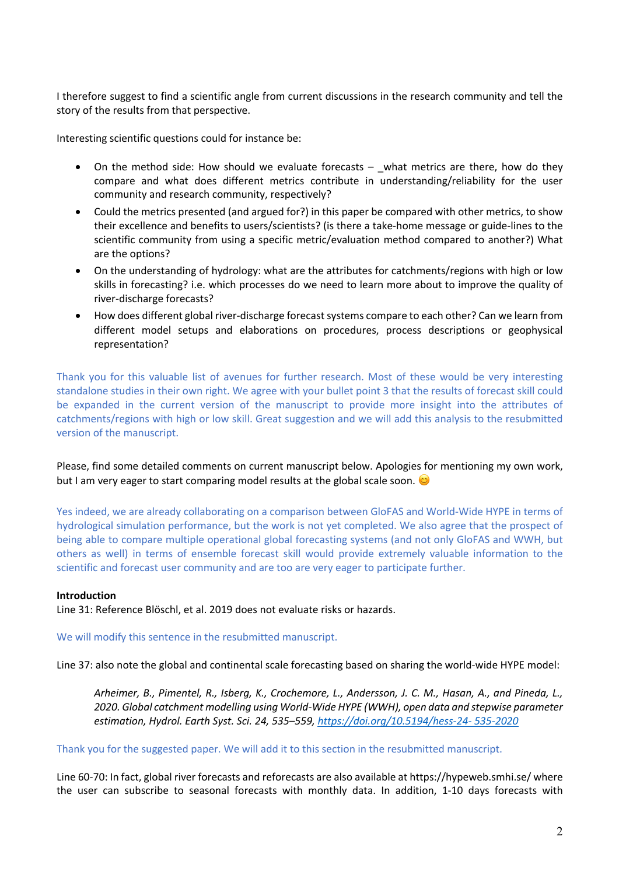I therefore suggest to find a scientific angle from current discussions in the research community and tell the story of the results from that perspective.

Interesting scientific questions could for instance be:

- On the method side: How should we evaluate forecasts what metrics are there, how do they compare and what does different metrics contribute in understanding/reliability for the user community and research community, respectively?
- Could the metrics presented (and argued for?) in this paper be compared with other metrics, to show their excellence and benefits to users/scientists? (is there a take-home message or guide-lines to the scientific community from using a specific metric/evaluation method compared to another?) What are the options?
- On the understanding of hydrology: what are the attributes for catchments/regions with high or low skills in forecasting? i.e. which processes do we need to learn more about to improve the quality of river-discharge forecasts?
- How does different global river-discharge forecast systems compare to each other? Can we learn from different model setups and elaborations on procedures, process descriptions or geophysical representation?

Thank you for this valuable list of avenues for further research. Most of these would be very interesting standalone studies in their own right. We agree with your bullet point 3 that the results of forecast skill could be expanded in the current version of the manuscript to provide more insight into the attributes of catchments/regions with high or low skill. Great suggestion and we will add this analysis to the resubmitted version of the manuscript.

Please, find some detailed comments on current manuscript below. Apologies for mentioning my own work, but I am very eager to start comparing model results at the global scale soon.  $\heartsuit$ 

Yes indeed, we are already collaborating on a comparison between GloFAS and World-Wide HYPE in terms of hydrological simulation performance, but the work is not yet completed. We also agree that the prospect of being able to compare multiple operational global forecasting systems (and not only GloFAS and WWH, but others as well) in terms of ensemble forecast skill would provide extremely valuable information to the scientific and forecast user community and are too are very eager to participate further.

## **Introduction**

Line 31: Reference Blöschl, et al. 2019 does not evaluate risks or hazards.

We will modify this sentence in the resubmitted manuscript.

Line 37: also note the global and continental scale forecasting based on sharing the world-wide HYPE model:

*Arheimer, B., Pimentel, R., Isberg, K., Crochemore, L., Andersson, J. C. M., Hasan, A., and Pineda, L., 2020. Global catchment modelling using World-Wide HYPE (WWH), open data and stepwise parameter estimation, Hydrol. Earth Syst. Sci. 24, 535–559, https://doi.org/10.5194/hess-24- 535-2020*

Thank you for the suggested paper. We will add it to this section in the resubmitted manuscript.

Line 60-70: In fact, global river forecasts and reforecasts are also available at https://hypeweb.smhi.se/ where the user can subscribe to seasonal forecasts with monthly data. In addition, 1-10 days forecasts with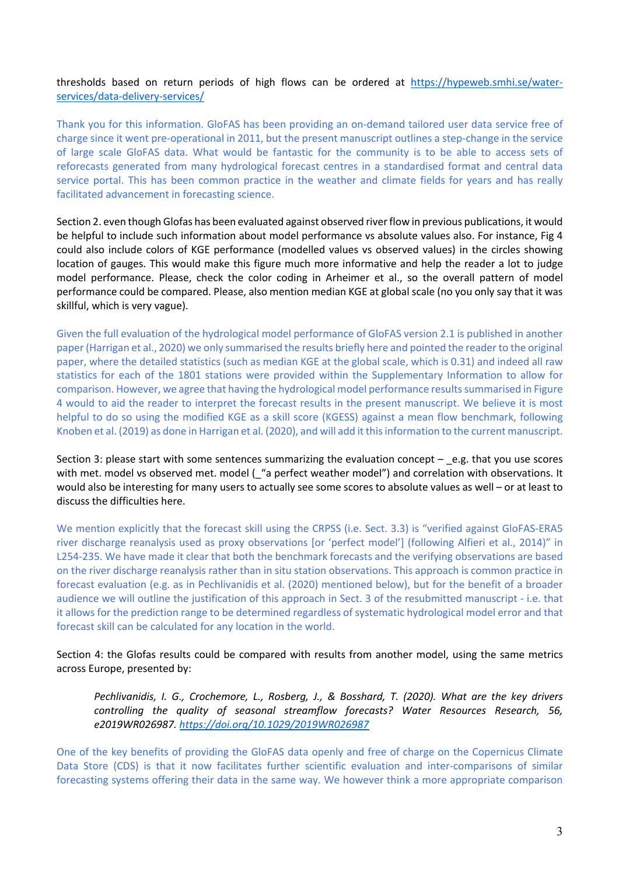thresholds based on return periods of high flows can be ordered at https://hypeweb.smhi.se/waterservices/data-delivery-services/

Thank you for this information. GloFAS has been providing an on-demand tailored user data service free of charge since it went pre-operational in 2011, but the present manuscript outlines a step-change in the service of large scale GloFAS data. What would be fantastic for the community is to be able to access sets of reforecasts generated from many hydrological forecast centres in a standardised format and central data service portal. This has been common practice in the weather and climate fields for years and has really facilitated advancement in forecasting science.

Section 2. even though Glofas has been evaluated against observed river flow in previous publications, it would be helpful to include such information about model performance vs absolute values also. For instance, Fig 4 could also include colors of KGE performance (modelled values vs observed values) in the circles showing location of gauges. This would make this figure much more informative and help the reader a lot to judge model performance. Please, check the color coding in Arheimer et al., so the overall pattern of model performance could be compared. Please, also mention median KGE at global scale (no you only say that it was skillful, which is very vague).

Given the full evaluation of the hydrological model performance of GloFAS version 2.1 is published in another paper (Harrigan et al., 2020) we only summarised the results briefly here and pointed the reader to the original paper, where the detailed statistics (such as median KGE at the global scale, which is 0.31) and indeed all raw statistics for each of the 1801 stations were provided within the Supplementary Information to allow for comparison. However, we agree that having the hydrological model performance results summarised in Figure 4 would to aid the reader to interpret the forecast results in the present manuscript. We believe it is most helpful to do so using the modified KGE as a skill score (KGESS) against a mean flow benchmark, following Knoben et al. (2019) as done in Harrigan et al. (2020), and will add it this information to the current manuscript.

Section 3: please start with some sentences summarizing the evaluation concept  $-$  e.g. that you use scores with met. model vs observed met. model ("a perfect weather model") and correlation with observations. It would also be interesting for many users to actually see some scores to absolute values as well – or at least to discuss the difficulties here.

We mention explicitly that the forecast skill using the CRPSS (i.e. Sect. 3.3) is "verified against GloFAS-ERA5 river discharge reanalysis used as proxy observations [or 'perfect model'] (following Alfieri et al., 2014)" in L254-235. We have made it clear that both the benchmark forecasts and the verifying observations are based on the river discharge reanalysis rather than in situ station observations. This approach is common practice in forecast evaluation (e.g. as in Pechlivanidis et al. (2020) mentioned below), but for the benefit of a broader audience we will outline the justification of this approach in Sect. 3 of the resubmitted manuscript - i.e. that it allows for the prediction range to be determined regardless of systematic hydrological model error and that forecast skill can be calculated for any location in the world.

Section 4: the Glofas results could be compared with results from another model, using the same metrics across Europe, presented by:

*Pechlivanidis, I. G., Crochemore, L., Rosberg, J., & Bosshard, T. (2020). What are the key drivers controlling the quality of seasonal streamflow forecasts? Water Resources Research, 56, e2019WR026987. https://doi.org/10.1029/2019WR026987*

One of the key benefits of providing the GloFAS data openly and free of charge on the Copernicus Climate Data Store (CDS) is that it now facilitates further scientific evaluation and inter-comparisons of similar forecasting systems offering their data in the same way. We however think a more appropriate comparison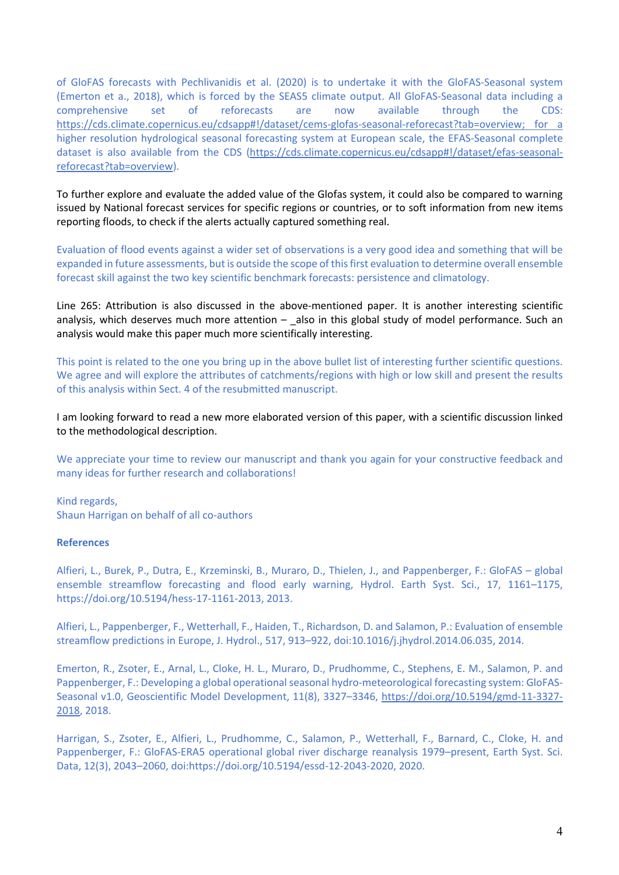of GloFAS forecasts with Pechlivanidis et al. (2020) is to undertake it with the GloFAS-Seasonal system (Emerton et a., 2018), which is forced by the SEAS5 climate output. All GloFAS-Seasonal data including a comprehensive set of reforecasts are now available through the CDS: https://cds.climate.copernicus.eu/cdsapp#!/dataset/cems-glofas-seasonal-reforecast?tab=overview; for a higher resolution hydrological seasonal forecasting system at European scale, the EFAS-Seasonal complete dataset is also available from the CDS (https://cds.climate.copernicus.eu/cdsapp#!/dataset/efas-seasonalreforecast?tab=overview).

To further explore and evaluate the added value of the Glofas system, it could also be compared to warning issued by National forecast services for specific regions or countries, or to soft information from new items reporting floods, to check if the alerts actually captured something real.

Evaluation of flood events against a wider set of observations is a very good idea and something that will be expanded in future assessments, but is outside the scope of this first evaluation to determine overall ensemble forecast skill against the two key scientific benchmark forecasts: persistence and climatology.

Line 265: Attribution is also discussed in the above-mentioned paper. It is another interesting scientific analysis, which deserves much more attention - \_also in this global study of model performance. Such an analysis would make this paper much more scientifically interesting.

This point is related to the one you bring up in the above bullet list of interesting further scientific questions. We agree and will explore the attributes of catchments/regions with high or low skill and present the results of this analysis within Sect. 4 of the resubmitted manuscript.

I am looking forward to read a new more elaborated version of this paper, with a scientific discussion linked to the methodological description.

We appreciate your time to review our manuscript and thank you again for your constructive feedback and many ideas for further research and collaborations!

Kind regards, Shaun Harrigan on behalf of all co-authors

## **References**

Alfieri, L., Burek, P., Dutra, E., Krzeminski, B., Muraro, D., Thielen, J., and Pappenberger, F.: GloFAS – global ensemble streamflow forecasting and flood early warning, Hydrol. Earth Syst. Sci., 17, 1161–1175, https://doi.org/10.5194/hess-17-1161-2013, 2013.

Alfieri, L., Pappenberger, F., Wetterhall, F., Haiden, T., Richardson, D. and Salamon, P.: Evaluation of ensemble streamflow predictions in Europe, J. Hydrol., 517, 913–922, doi:10.1016/j.jhydrol.2014.06.035, 2014.

Emerton, R., Zsoter, E., Arnal, L., Cloke, H. L., Muraro, D., Prudhomme, C., Stephens, E. M., Salamon, P. and Pappenberger, F.: Developing a global operational seasonal hydro-meteorological forecasting system: GloFAS-Seasonal v1.0, Geoscientific Model Development, 11(8), 3327-3346, https://doi.org/10.5194/gmd-11-3327-2018, 2018.

Harrigan, S., Zsoter, E., Alfieri, L., Prudhomme, C., Salamon, P., Wetterhall, F., Barnard, C., Cloke, H. and Pappenberger, F.: GloFAS-ERA5 operational global river discharge reanalysis 1979–present, Earth Syst. Sci. Data, 12(3), 2043–2060, doi:https://doi.org/10.5194/essd-12-2043-2020, 2020.